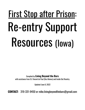# First Stop after Prison: Re-entry Support Resources (Iowa)

# Compiled by **Living Beyond the Bars**

with assistance from St. Vincent de Paul (Des Moines) and Inside Out Reentry.

Updated: June 8, 2022

**CONTACT**: 319-331-9450 or [mike.livingbeyondthebars@gmail.com](mailto:mike.livingbeyondthebars@gmail.com)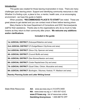#### **Introduction**:

This guide was created for those leaving incarceration in Iowa. There are many challenges upon leaving prison. Support and identifying community resources is vital. Whether it is finding a job, a place to live, a mentor, health care, or an encouraging environment - we hope this guide is helpful.

When possible, **"RECOMMENDED PLACE'S TO START"**are noted. These are great places to get started and you can contact most of them before leaving prison.

Many thanks to the Iowa Department of Corrections and DOC Services/parole staff for their assistance. Thanks also to the organizations who do so much to help Iowans as they return to their community after prison. **We welcome any additions and/or clarifications.**

#### **Included in the guide:**

| 1st JUDICIAL DISTRICT (Dubuque/Waterloo and area)                         |
|---------------------------------------------------------------------------|
| 2nd JUDICIAL DISTRICT (Ft.Dodge/Mason City/Ames and area)                 |
| 3rd JUDICIAL DISTRICT (Sioux City, Spencer and area)                      |
| 4th JUDICIAL DISTRICT (Council Bluffs and area)                           |
| <b>5th JUDICIAL DISTRICT</b> (Des Moines/Newton and area)                 |
| <b>6th JUDICIAL DISTRICT</b> (Cedar Rapids/lowa City and area)            |
| <b>7th JUDICIAL DISTRICT</b> (Quad Cities, Clinton, Muscatine and area)   |
| 8th JUDICIAL DISTRICT (Burlington, Ottumwa, Keokuk, Ft. Madison and area) |
|                                                                           |

**Reentry Planning Guide and Letter Writing format**

State-Wide Resources: **AA:** [www.aa.iowa.org](http://www.aa.iowa.org/212-870-3400) or 212-870-3400 **NA:** [www.iowa-na.org](http://www.iowa-na.org/) or 1-800-897-6242 **www.211iowa.org** - list of resources online **Gambling Anonymous:** 1-800-BETS OFF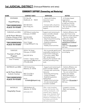# **1st JUDICIAL DISTRICT** (Dubuque/Waterloo and area)

| <b>NAME</b>                                                                                                                                  | <b>CONTACT INFO</b>                                                                                                              | <b>SERVICES</b>                                                                                                                                                                                                                                                                   | <b>NOTES</b>                                                                                                                                                                                                                                  |
|----------------------------------------------------------------------------------------------------------------------------------------------|----------------------------------------------------------------------------------------------------------------------------------|-----------------------------------------------------------------------------------------------------------------------------------------------------------------------------------------------------------------------------------------------------------------------------------|-----------------------------------------------------------------------------------------------------------------------------------------------------------------------------------------------------------------------------------------------|
| <b>STATEWIDE</b><br>Hope4Healing<br><b>*RECOMMENDED</b><br><b>PLACE TO START</b>                                                             | P.O. Box 48,<br>Gladbrook, IA<br>50635<br>855-584-4673<br>Mon-Friday 8-5                                                         | - Assist with finding<br>resources in your<br>community<br>- Connect with a church to<br>provide mentor and other<br>support.                                                                                                                                                     | - A Christian-based<br>organization.<br>- Will go the extra mile<br>to help you find the<br>resources you need.<br>- You can write to them<br>from prison.                                                                                    |
| DUBUQUE and AREA<br>Jail & Prison Ministry<br>(Catholic Charities of the<br>Archdiocese of Dubuque)<br>*RECOMMENDED<br><b>PLACE TO START</b> | 1229 Mount Loretta Ave.<br>Dubuque, IA 52003<br>563.552.0203<br>(800) 772-2758<br>Karen Hoeger<br>k.hoeger@dbqarch.org           | Support and mentoring (in<br>prison and after release)<br>- Connecting with<br>community resources<br>- Help find work & housing,<br>- Circles of Support<br>- Establishing positive<br>relationships<br>- Healthy social activities                                              | - Catholic affiliation, but<br>you don't have to be<br>Catholic to work with them.<br>- You can contact them<br>before your release.<br>- Must participate in<br>mentoring or Circles of<br>Support.<br>They cover 30 counties in<br>NE Iowa. |
| <b>DUBUQUE</b><br>Fountain of Youth<br>Program<br>(United Way of Dubuque<br>Area Tri-States)                                                 | 220 W. 7th Street<br>Dubuque, IA 52001<br>(563) 587-8316<br>Contact: Caprice Jones<br>capricejones14@gmail.com<br>(773) 440-2228 | - Aim to provide gainful and<br>sustainable employment to<br>youth 16-24 in Dubuque<br>- Curriculum called "Real<br>Talk" aimed toward<br>reducing the recidivism rate<br>and also providing living<br>tools                                                                      | - Very positive and<br>encouraging                                                                                                                                                                                                            |
| WATERLOO and AREA<br>Jail & Prison Ministry<br>(Catholic Charities)<br>*RECOMMENDED<br><b>PLACE TO START</b>                                 | 1425 Kimball Ave.<br>Waterloo, IA 50702<br>800-772-2758 or<br>319-272-2080<br>Email:<br>d.shafer@dbqarch.org                     | - Support and mentoring (in<br>prison and after release)<br>- Connect with community<br>resources<br>- Find work and housing<br>- Circles of Support<br>- Establishing positive<br>relationships<br>- Healthy social activities<br>- On-site mental health<br>counselor available | - Catholic affiliation, but<br>you don't have to be<br>Catholic to work with them.<br>- You can contact them<br>before your release.<br>- Must participate in<br>mentoring or Circles of<br>Support.<br>They cover 30 counties in<br>NE Iowa. |
| <b>WATERLOO</b><br><b>Hospitality House</b>                                                                                                  | 1003 Mulberry St.<br>Waterloo, IA 50704<br>(319) 234-1311                                                                        | Offer a light breakfast,<br>shower and laundry, free<br>clothing, backpacks, cold<br>weather attire, sleeping<br>bags, tents, blankets, food<br>sacks, an address for mail,<br>telephone messaging, local<br>bus tickets and connect<br>with area resources.                      | - Located in a house.<br>- Warm and welcoming<br>people.                                                                                                                                                                                      |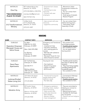| <b>WATERLOO</b><br>One City<br>*RECOMMENDED<br><b>PLACE TO START</b> | 907 Independence Ave.<br>Waterloo, IA 50703<br>(319) 334-0263 or 334-0156<br>onecityunited@gmail.com<br>app.onecitycv.org | - Empowerment classes.<br>- Mentors<br>- Connecting to area<br>resources.<br>- Connect with area<br>employers. | - Momentum Urban<br>Employment Initiative for<br>reentry<br>- You can contact them<br>from prison.<br>- Great group of people.<br>- Restore Program |
|----------------------------------------------------------------------|---------------------------------------------------------------------------------------------------------------------------|----------------------------------------------------------------------------------------------------------------|-----------------------------------------------------------------------------------------------------------------------------------------------------|
| <b>WATERLOO</b><br>312 Transformational<br>Ministry                  | % Mike Smith<br>5112 Lafayette Rd.<br>Waterloo, IA 50707<br>(319) 231-4307                                                | - help connect with area<br>resources.<br>- supportive community                                               | - You can contact them<br>before leaving prison.<br>- Faith-based. (Faith<br>Assembly of God)                                                       |

| <b>NAME</b>                                                                       | <b>CONTACT INFO</b>                                                                                                           | <b>SERVICES</b>                                                                                                                                                                                                                              | <b>NOTES</b>                                                                                                                                                                                 |
|-----------------------------------------------------------------------------------|-------------------------------------------------------------------------------------------------------------------------------|----------------------------------------------------------------------------------------------------------------------------------------------------------------------------------------------------------------------------------------------|----------------------------------------------------------------------------------------------------------------------------------------------------------------------------------------------|
| <b>DUBUQUE</b><br><b>Operation Empower:</b><br>Manasseh House and<br>Salvia House | For Men:<br>2080 Elm St. #103<br>Dubuque, IA 52001<br>Main: (563) 599-2980<br>For Women:<br>2160 Elm St.<br>Dubuque, IA 52001 | <b>Emergency and Transitional</b><br>Housing<br>- employment help<br>- education assistance<br>- aid in setting goals for<br>success<br>- Will help with substance<br>use/recovery<br>- Manassah House for men.<br>- Salvia House for women. | - Very positive and<br>encouraging people.<br>- Possible parole location<br>- Not available for SO's.<br>- You can apply before<br>leaving prison.                                           |
| <b>DUBUQUE</b><br>Davis Place<br>Apartments                                       | 521 Garfield Ave.<br>Dubuque, IA 52001<br>563-583-9111<br>Mailing address:<br>1909 Johnson Street<br>Dubuque, IA<br>52001     | Housing for men:<br>- Own bedroom<br>- Shared living space<br>- Utilities included<br>- \$375/month                                                                                                                                          | - Possible parole location,<br>but only on case-by-case<br>situation.<br>- They have living supplies<br>including clothing and<br>household needs.<br>- Not available for SO's               |
| <b>WATERLOO</b><br>Junkman/Knobel<br>Sober-Living Unit                            | 1014 West 4th Street<br>Waterloo, IA 50702<br>319-235-8855                                                                    | - Transitional housing for<br>people dealing with<br>addiction issues.<br>- For men only                                                                                                                                                     | - Connected to Pathways<br><b>Behavioral Services.</b><br>- Possible parole location<br>- Not available for SO's.                                                                            |
| <b>WATERLOO</b><br><b>Salvation Army</b>                                          | 89 Franklin Street<br>Waterloo, IA 50703<br>Write to: PO Box 867<br>Waterloo, IA 50704<br>319-235-9358                        | - Emergency assistance<br>including meals, medical<br>care and housing.<br>- Help connect with<br>community resources<br>- Men's Shelter<br>- Women's Shelter<br>- Case management                                                           | - They are committed to<br>helping you connect to<br>area resources.<br>- Welcoming and warm.<br>- Available for discharge,<br>but not parole.<br>- Pastoral care and religious<br>services. |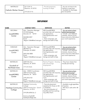319-232-2116

#### **EMPLOYMENT**

| <b>NAME</b>                                      | <b>CONTACT INFO</b>                                                                                                                                | <b>SERVICES</b>                                                                                                                                                       | <b>NOTES</b>                                                                                                                                                          |
|--------------------------------------------------|----------------------------------------------------------------------------------------------------------------------------------------------------|-----------------------------------------------------------------------------------------------------------------------------------------------------------------------|-----------------------------------------------------------------------------------------------------------------------------------------------------------------------|
| <b>DECORAH</b><br><b>lowaWORKS</b><br>Center     | Attn: Operation Manager<br>312 Winnebago<br>Decorah, IA<br>52101<br>(563)382-0457<br>Email:<br>Region1.Web@iwd.iowa.gov                            | <b>IWD (lowaWORKS)</b><br>provides help with resumes,<br>job applications,<br>training/education and<br>more.<br>- Have computers, job<br>listings and staff to help. | - You can write to them<br>before leaving prison.<br>- Include: your skills/job<br>interests, resume (if you<br>have one) and a little about<br>your work experience. |
| <b>DUBUQUE</b><br><b>lowaWORKS</b><br>Center     | Attn: Operation Manager<br>680 Main St.<br>Dubuque, IA 52001<br>(563) 556-5800<br>Email:<br>Region1.Web@iwd.iowa.gov                               | <b>IWD (lowaWORKS)</b><br>provides help with resumes,<br>job applications,<br>training/education and<br>more.<br>- Have computers, job<br>listings and staff to help. | - You can write to them<br>before leaving prison.<br>- Include: your skills/job<br>interests, resume (if you<br>have one) and a little about<br>your work experience. |
| <b>WATERLOO</b><br>Goodwill of<br>Northeast Iowa | 2640 Falls Ave<br>Waterloo, IA 50701<br>319-234-4626                                                                                               | Reentry Program: Develop,<br>plan and arrange<br>employment                                                                                                           | - They have classes that<br>include job training.                                                                                                                     |
| <b>WATERLOO</b><br><b>lowaWORKS</b><br>Center    | Attn: OWDS Coordinator<br>3420 University Ave.<br>Waterloo, IA 50701<br>319) 235-2123<br>Email:<br>Region7.Web@iwd.iowa.gov                        | <b>IWD (lowaWORKS)</b><br>provides help with resumes,<br>job applications,<br>training/education and<br>more.<br>- Have computers, job<br>listings and staff to help. | - You can write to them<br>before leaving prison.<br>- Include: your skills/job<br>interests, resume (if you<br>have one) and a little about<br>your work experience. |
| <b>WATERLOO</b><br>Hawkeye Community<br>College  | Hawkeye Community<br>College<br>3420 University Ave. Suite E<br>Waterloo, IA 5070<br>319-296-4296 Ext. 2<br>brenna.schaefer@<br>hawkeyecollege.edu | - Free job placement<br>assistance for those on SSI<br>or Disability.<br>- No cost evaluation of<br>benefits and how working<br>may affect them.                      | - Available to all regardless<br>of location.<br>- Will return calls within 48<br>hours.                                                                              |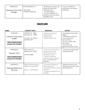| <b>WATERLOO</b>              | 319-296-4296 Ext. 3             | - Building and construction<br>trades job training for                                                            | - Can earn OSHA 10<br>certification and industry |
|------------------------------|---------------------------------|-------------------------------------------------------------------------------------------------------------------|--------------------------------------------------|
| Hawkeye Community<br>College | webuildr@<br>hawkeyecollege.edu | 18-24 year olds.<br>- 12 week program.<br>- No cost evaluation of<br>benefits and how working<br>maylaffect them. | credentials.                                     |

| <b>NAME</b>                                                                                           | <b>CONTACT INFO</b>                                                            | <b>SERVICES</b>                                                                                                                                                                                 | <b>NOTES</b>                                                                                                                                                                                           |
|-------------------------------------------------------------------------------------------------------|--------------------------------------------------------------------------------|-------------------------------------------------------------------------------------------------------------------------------------------------------------------------------------------------|--------------------------------------------------------------------------------------------------------------------------------------------------------------------------------------------------------|
| <b>DUBUQUE</b><br><b>Crescent Community</b><br>Health<br><b>*RECOMMENDED</b><br><b>PLACE TO START</b> | 1690 Elm St. #300<br>Dubuque, IA 52001<br>Contact - Ann Morris<br>563-690-2417 | - Sliding scale general<br>health services.<br>- Dental Care<br>- Mental Health Care.                                                                                                           | - Very helpful and positive<br>people.<br>- Will help you find and<br>connect with other<br>resources/help.<br>- You can contact them<br>from prison.<br>- You can set up<br>appointments from prison. |
| <b>WATERLOO</b><br>People's Clinic<br>*RECOMMENDED<br><b>PLACE TO START</b>                           | 905 Franklin St.<br>Waterloo, IA 50703<br>319-874-3000                         | - They have social workers<br>to help connect with<br>community resources<br>including housing.<br>- Provide a variety of<br>medical services including<br>getting a primary care<br>physician. | - Friendly and helpful staff.<br>- Sliding-scale fee.                                                                                                                                                  |
| <b>WATERLOO</b><br>Pathways Behavioral<br><b>Services</b>                                             | 3362 University Avenue<br>Waterloo, Iowa 50701<br>Phone: 319-235-6571          | - Out-patient Substance<br>Abuse Treatment<br>- Out-patient Mental Health<br>Treatment<br>- In-patient/residential also<br>available.                                                           | - Sliding scale fee at first.<br>- Need insurance soon after<br>initial assessment.                                                                                                                    |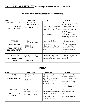# **2nd JUDICIAL DISTRICT** (Fort Dodge, Mason City, Ames and area)

## **COMMUNITY SUPPORT (Connecting and Mentoring)**

| <b>NAME</b>                                                               | <b>CONTACT INFO</b>                                                   | <b>SERVICES</b>                                                                                                                                | <b>NOTES</b>                                                                                                                                                                                                                                          |
|---------------------------------------------------------------------------|-----------------------------------------------------------------------|------------------------------------------------------------------------------------------------------------------------------------------------|-------------------------------------------------------------------------------------------------------------------------------------------------------------------------------------------------------------------------------------------------------|
| FT. DODGE and AREA<br>The Church of the<br>Damascus Road                  | 239 North 11th St.<br>Fort Dodge, IA 50501<br>Office: (515) 955-3579  | Support:<br>- Team of 3-7 commits to a<br>returning citizen for up to a<br>year to assist with transition<br>- Mentoring and<br>accountability | - Write or call them to get<br>an application.<br>- They prefer to start while<br>you are incarcerated.<br>- Great organization and<br>people.<br>Religious Affiliation:<br>- Western lowa synod of<br>the Evangelical Lutheran<br>Church in America. |
| <b>STATEWIDE</b><br>Hope4Healing<br>*RECOMMENDED<br><b>PLACE TO START</b> | P.O. Box 48,<br>Gladbrook, IA 50635<br>855-584-4673<br>Mon-Friday 8-5 | - Assist with finding<br>resources in your<br>community<br>- Connect with a church to<br>provide mentor and other<br>support                   | - A Christian-based<br>organization.<br>- Will go the extra mile<br>to help you find the<br>resources you need.<br>- You can write to them<br>from prison.                                                                                            |
| <b>MARSHALLTOWN</b><br>New Hope Christian<br>Church                       | 3901 S. Center St.<br>Marshalltown, IA 50158<br>641-752-1612          | - Very supportive church<br>that can help with food and<br>connecting to area services.                                                        | - They are connected to<br>other organizations in the<br>community.                                                                                                                                                                                   |

| <b>NAME</b>                            | <b>CONTACT INFO</b>                                                | <b>SERVICES</b>                                                                                                                                                                   | <b>NOTES</b>                                                                                                                                                                                      |
|----------------------------------------|--------------------------------------------------------------------|-----------------------------------------------------------------------------------------------------------------------------------------------------------------------------------|---------------------------------------------------------------------------------------------------------------------------------------------------------------------------------------------------|
| AMES<br>Matthew 25 House               | 330 S. Second St.<br>Ames, IA 50010<br>515-231-4385                | - Christian-based reentry<br>housing<br>- Year-long commitment<br>- Connecting to area<br>resources.<br>- Housing for men.                                                        | - You can contact them<br>before leaving prison<br>- Caring, positive people<br>who understand the<br>challenges of leaving<br>prison.<br>- Possible parole location<br>- Not available for SO's. |
| FT. DODGE<br>Beacon of Hope<br>Shelter | 1021 1st Ave. N.<br>Fort Dodge, IA<br>50501<br>Phone: 515-955-3366 | Provides a safe and secure<br>emergency shelter, clothing<br>and food. Temporary<br>assistance to create<br>opportunities and<br>programs in working<br>towards self-sufficiency. | - Christ-centered<br>faith-based ministry.<br>- Men only.<br>- Not a parole location,<br>possible for discharge.                                                                                  |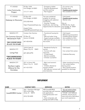| FT. DODGE<br>Lotus Community<br>Project                                                               | PO Box 1654<br>Fort Dodge, IA 50501<br>$(515) 571 - 8802$                                                                              | - Emergency shelter<br>- Personal development<br>and life coaching<br>- Peer Support                                                                                     | - For women only.<br>(Children also)<br>- Possible parole location<br>- Not available for SO's.                                           |
|-------------------------------------------------------------------------------------------------------|----------------------------------------------------------------------------------------------------------------------------------------|--------------------------------------------------------------------------------------------------------------------------------------------------------------------------|-------------------------------------------------------------------------------------------------------------------------------------------|
| FT. DODGE<br><b>Gateway to Discovery</b>                                                              | <b>PO Box 432</b><br>Fort Dodge, IA 50501<br>(515) 302-8162<br>https://hopesweethope.org<br>Angela Fisher:<br>Angela@hopesweethope.org | Two-year residential<br>program for women<br>struggling with addiction<br>and trauma.<br>- Housing, Therapy,<br>Healthcare, Job training,<br>Opportunities for education | - Faith-based.<br>- Possible parole location.<br>- Women only.<br>Also at:<br>1900 5th Ave. South<br>Fort Dodge, IA 50501<br>515-302-8016 |
| <b>MASON CITY</b><br>On Common Ground<br>Ministries/In Faith<br>*RECOMMENDED<br><b>PLACE TO START</b> | Contact: Ken Quintus<br>PO Box 32<br>Garner, IA 50438<br>641-430-4536                                                                  | - Transitional housing for<br>men.<br>- Safe and sober living.<br>- Support groups available.<br>- Will work with you on your<br>first month.                            | - Faith-based.<br>- Welcoming and positive<br>- Possible parole location<br>- Not available for SO's.<br>- Can contact from prison        |
| <b>MASON CITY</b><br>Living Free<br><b>*RECOMMENDED</b><br><b>PLACE TO START</b>                      | 124 W. State St.<br>Mason City, IA<br>50401<br>641-423-6793                                                                            | - Residential facility for<br>women.<br>- Connect with area<br>resources.<br>- 12-step based.<br>- Mentors available.<br>- Christian counseline                          | - Faith-based.<br>- Can contact from prison.<br>- Celebrate Recovery                                                                      |
| <b>MASON CITY</b><br>Northern Lights<br>Alliance for the<br>Homeless                                  | 202 1st Street NW<br>Mason City, IA<br>50401<br>641-423-5920                                                                           | - Men's and women's<br>shelter.<br>- Children allowed at<br>women's shelter.<br>- Will help you connect with<br>area resources.                                          | - Sober transitional housing<br>- Can contact before<br>leaving prison.<br>- Not a parole location,<br>possible for discharge.            |

| <b>NAME</b>                     | <b>CONTACT INFO</b>                                                            | <b>SERVICES</b>                                                                                                                                                       | <b>NOTES</b>                                                                                                                                                          |
|---------------------------------|--------------------------------------------------------------------------------|-----------------------------------------------------------------------------------------------------------------------------------------------------------------------|-----------------------------------------------------------------------------------------------------------------------------------------------------------------------|
| AMES<br><b>lowaWORKS Center</b> | Attn: Operation Manager<br>903 Lincoln Way<br>Ames, IA 50010<br>(515) 725-5495 | <b>IWD (lowaWORKS)</b><br>provides help with resumes,<br>job applications,<br>training/education and<br>more.<br>- Have computers, job<br>listings and staff to help. | - You can write to them<br>before leaving prison.<br>- Include: your skills/job<br>interests, resume (if you<br>have one) and a little about<br>your work experience. |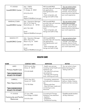| FT. DODGE<br><b>lowaWORKS Center</b>           | Attn: OWDS<br>3 Triton Circle<br>Ft. Dodge, IA 50501<br>$(515) 576 - 3131$<br>Fmail:<br>Region5.Web@iwd.iowa.gov                   | <b>IWD (lowaWORKS)</b><br>provides help with resumes,<br>job applications,<br>training/education and<br>more.<br>- Have computers, job<br>listings and staff to help. | - You can write to them<br>before leaving prison.<br>- Include: your skills/job<br>interests, resume (if you<br>have one) and a little about<br>your work experience. |
|------------------------------------------------|------------------------------------------------------------------------------------------------------------------------------------|-----------------------------------------------------------------------------------------------------------------------------------------------------------------------|-----------------------------------------------------------------------------------------------------------------------------------------------------------------------|
| <b>MARSHALLTOWN</b><br><b>lowaWORKS Center</b> | Attn: Operations Manager<br>204 1/2 W. State St.<br>Marshalltown, IA 50158<br>(641) 754-1400<br>Email:<br>Region6.Web@iwd.iowa.gov | <b>IWD (lowaWORKS)</b><br>provides help with resumes,<br>job applications,<br>education/training and<br>more.<br>- Have computers, job<br>listings and staff to help. | - You can write to them<br>before leaving prison.<br>- Include: your skills/job<br>interests, resume (if you<br>have one) and a little about<br>your work experience. |
| <b>MASON CITY</b><br><b>lowaWORKS Center</b>   | Attn: Operation Manager<br>600 S. Pierce Ave<br>Mason City, IA 50401<br>(641) 422-1524<br>Fmail:<br>Region2.Web@iwd.iowa.gov       | <b>IWD (lowaWORKS)</b><br>provides help with resumes,<br>job applications,<br>training/education and<br>more.<br>- Have computers, job<br>listings and staff to help. | - You can write to them<br>before leaving prison.<br>- Include: your skills/job<br>interests, resume (if you<br>have one) and a little about<br>your work experience. |

| <b>NAME</b>                                                                 | <b>CONTACT INFO</b>                                  | <b>SERVICES</b>                                                                                                                                                                | <b>NOTES</b>                                                                 |
|-----------------------------------------------------------------------------|------------------------------------------------------|--------------------------------------------------------------------------------------------------------------------------------------------------------------------------------|------------------------------------------------------------------------------|
| AMES<br><b>Primary Health Care</b><br>*RECOMMENDED<br><b>PLACE TO START</b> | 3510 Lincoln Way<br>Ames, IA 50014<br>515-232-0628   | - Health care services<br>including mental health and<br>substance use.<br>- Can help find a primary<br>care physician<br>- Can help with housing,<br>food, clothing and more. | - You can write to them<br>before leaving prison.<br>- Sliding scale fee.    |
| <b>CARROLL</b><br>New Opportunities<br>*RECOMMENDED<br>PLACE TO START       | 23751 Hwy 30 E.<br>Carroll, IA 51401<br>712-792-9266 | - Counseling, assessment<br>and referrals for substance<br>use.<br>- Sliding scale fees.<br>- Help with basic needs and<br>connecting to area<br>resources.                    | They serve Audubon,<br>Calhoun, Dallas, Greene,<br>Guthrie and Sac counties. |
| FT. DODGE<br>Community and Family<br>Resources                              | 211 Ave. MW<br>Fort Dodge, IA 50501<br>515-576-7261  | Counseling & Therapy<br>Substance use treatment:<br>- Inpatient<br>- Outpatient<br>- Transitional housing                                                                      | - Possible parole location.<br>- 30-day treatment.                           |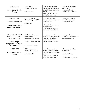| <b>FORT DODGE</b><br><b>Community Health</b><br>Center                                            | 126 N 10th St<br>Fort Dodge, IA 50501<br>$(515) 576 - 6500$        | - Health care services:<br>mental health, substance<br>use, primary care physician,<br>dental.<br>- Will also help connect<br>with other resources. | - You can contact them<br>from prison.<br>- Sliding scale fee.<br>- Positive and supportive. |
|---------------------------------------------------------------------------------------------------|--------------------------------------------------------------------|-----------------------------------------------------------------------------------------------------------------------------------------------------|----------------------------------------------------------------------------------------------|
| <b>MARSHALLTOWN</b><br><b>Primary Health Care</b><br><b>*RECOMMENDED</b><br><b>PLACE TO START</b> | 412 E. Church St.<br>Marshaltown, IA 50158<br>641-753-4021         | - Health care services<br>including mental health and<br>substance use.<br>- Can help find a primary<br>care physician                              | - You can write to them<br>before leaving prison.<br>- Sliding scale fee.                    |
|                                                                                                   |                                                                    | - Can help with housing,<br>food, clothing and more.                                                                                                |                                                                                              |
| MASON CITY, ALGONA<br>FOREST CITY,, CHARLES<br>CITY, HAMPTON                                      | 320 N. Eisenhower Ave.<br>P.O. Box 1338<br>Mason City, IA<br>50402 | health<br>Mental<br>and<br>$\overline{a}$<br>substance abuse treatment.<br>- Both residential and<br>outpatient services.                           | - Sliding scale fee.<br>- County social services can<br>provide assistance.                  |
| Prairie Ridge<br><b>Integrated Behavioral</b><br>Healthcare                                       | Toll free: 866-429-2391<br>www.prairieridge.net                    | - Walk-in hours available.                                                                                                                          |                                                                                              |
| <b>MASON CITY</b><br><b>Community Health</b><br>Center                                            | 404 N Federal Ave<br>Mason City, IA 50401<br>(641) 450-0601        | - Health care services:<br>mental health, substance<br>use, primary care physician,<br>dental.<br>- Will also help connect<br>with other resources. | - You can contact them<br>from prison.<br>- Sliding scale fee.<br>- Positive and supportive. |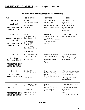# **3rd JUDICIAL DISTRICT** (Sioux City/Spencer and area)

| <b>NAME</b>                                                                                  | <b>CONTACT INFO</b>                                                                                                                                                     | <b>SERVICES</b>                                                                                                                        | <b>NOTES</b>                                                                                                                                                  |
|----------------------------------------------------------------------------------------------|-------------------------------------------------------------------------------------------------------------------------------------------------------------------------|----------------------------------------------------------------------------------------------------------------------------------------|---------------------------------------------------------------------------------------------------------------------------------------------------------------|
| <b>STATEWIDE</b><br>Hope4Healing<br><b>*RECOMMENDED</b><br><b>PLACE TO START</b>             | P.O. Box 48,<br>Gladbrook, IA<br>50635<br>855-584-4673<br>Mon-Friday 8-5                                                                                                | - Assist with finding<br>resources in your<br>community<br>- Connect with a church to<br>provide mentor and other<br>support           | - A Christian-based<br>organization.<br>- Will go the extra mile<br>to help you find the<br>resources you need.<br>- You can write to them<br>from prison.    |
| SIOUX CITY<br>Community Action of<br>Siouxland<br>*RECOMMENDED<br><b>PLACE TO START</b>      | <b>MAIN OFFICE:</b><br>2700 Leech Ave<br>Sioux City, IA 51106<br>712-274-1610<br>800-352-3725<br>SLOAN OFFICE:<br>2711 S. Helen<br>Sioux City, IA 51106<br>712-274-9940 | - Food pantry<br>- Will help connect with<br>area resources<br>- Welcome Home Program<br>to help with finding<br>housing.              | - Great place to find help<br>when first starting back                                                                                                        |
| SIOUX CITY<br>Sunnybrook<br>Community Church<br><b>*RECOMMENDED</b><br><b>PLACE TO START</b> | 5601 Sunnybrook Dr.<br>Sioux City, IA 51106<br>712-276-5814                                                                                                             | - Very supportive church<br>with a Hope Center that<br>can help with housing,<br>employment, food and<br>more.<br>- Also have mentors. | - You can contact them<br>from prison.<br>- Celebrate Recovery is part<br>of the church.                                                                      |
| <b>SPENCER</b><br><b>Grand Avenue</b><br><b>Community Outreach</b>                           | 605 Grand Ave<br>Spencer, IA 51301<br>(712) 580-4732                                                                                                                    | - Employment help.<br>- Food and clothing<br>distribution.<br>- Free medical and dental<br>clinic.                                     | - This is a warm, welcoming<br>place that also has a coffee<br>shop and restaurant.<br>- Will help connect with<br>area resources.                            |
| <b>SPENCER</b><br>Atlas of Spencer<br>*RECOMMENDED<br><b>PLACE TO START</b>                  | 816 S. Grand Avenue<br>Spencer, IA 51301<br>712-580-3277<br>Write to: PO Box 907<br>Spencer, IA 51301                                                                   | - Mentoring<br>- Resource guidance<br>- Housing (will help you<br>find an apartment)<br>- Faith-based                                  | - They have prison reentry<br>teams to help.<br>- They are connected to<br>many churches.<br>- Willing to go the extra<br>step.<br>- Can contact from prison. |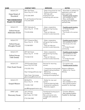| <b>NAME</b>                                                                                      | <b>CONTACT INFO</b>                                                                                                                              | <b>SERVICES</b>                                                                                                                                                   | <b>NOTES</b>                                                                                                                                                                                           |
|--------------------------------------------------------------------------------------------------|--------------------------------------------------------------------------------------------------------------------------------------------------|-------------------------------------------------------------------------------------------------------------------------------------------------------------------|--------------------------------------------------------------------------------------------------------------------------------------------------------------------------------------------------------|
| <b>SIOUX CITY</b><br>Hope Street of<br>Siouxland<br><b>*RECOMMENDED</b><br><b>PLACE TO START</b> | 406 12th Street<br>Sioux City, IA 51105<br>(712) 266-3644<br>Or call Transitional Services:<br>(712) 255-0204                                    | - Sober living home for men<br>- Positive environment.<br>- Will help with<br>employment and<br>connecting with services                                          | - Send letter to address for<br>application and to ask<br>about openings.<br>- Possible parole location<br>- Not available for SO's.<br>- Nice, comfortable<br>housing near downtown<br>and bus lines. |
| SIOUX CITY<br>Oxford House<br>(Nebraska Street)                                                  | 2931 Nebraska St.<br>Sioux City, IA 51104<br>712-224-4546                                                                                        | - Sober, cooperative,<br>self-governing housing<br>option<br>- They can help you<br>connect to area resources.                                                    | - Possible parole location.<br>- A 12-step focused<br>community.<br>- This house is for women<br>only.                                                                                                 |
| SIOUX CITY<br>Oxford House<br>(Douglas House)                                                    | 3217 Cheyenne Blvd.<br>Sioux City, IA 51104<br>712-560-8351                                                                                      | - Sober, cooperative,<br>self-governing housing<br>option.<br>- They can help you<br>connect to area resources.                                                   | - Possible parole location<br>- Not available for SO's.<br>- This house is for men<br>only.<br>- A 12-step focused<br>community.                                                                       |
| SIOUX CITY<br>Oxford House<br>(16th Street)                                                      | 209 16th Street<br>Sioux City, IA 51103<br>712-560-4134                                                                                          | - Sober, cooperative,<br>self-governing housing<br>option.<br>- They can help you<br>connect to area resources.                                                   | - Possible parole location<br>- Not available for SO's.<br>- This house is for men<br>only.<br>- A 12-step focused<br>community.                                                                       |
| SIOUX CITY<br><b>Clare Guest House</b>                                                           | 1918 Douglas Street<br>Sioux City, IA 51104<br>(712) 255-1916<br>http://clareguesthouse.org/<br>Sister Gwen Hennessey<br>glhennessey@hotmail.com | Services for returning<br>women:<br>- 7 temporary housing beds<br>- Support during transition<br>- Mentoring<br>- Assistance in finding<br>housing and employment | - For women only.<br>- Possible parole location.<br>Religious Affiliation:<br>- Sisters of St. Francis<br>Ministry                                                                                     |
| SIOUX CITY<br><b>Gospel Mission</b>                                                              | 500 Bluff St.<br>Sioux City, IA<br>51103<br>712-255-1769<br>paul@thegospelmission.org                                                            | - Shelter for men and<br>women.<br>- Financial planning help.<br>- Employment assistance.<br>- Recovery support.                                                  | - Faith based.<br>- Not available for SO's.<br>- Not a parole location,<br>possible for discharge.                                                                                                     |
| <b>SPIRIT LAKE</b><br>Discovery House                                                            | 1411 Hill Ave.<br>P.O. Box 163<br>Spirit Lake, IA 51360<br>(712) 336-5340                                                                        | Transitional housing (up to<br>6 months) for:<br>Men and women who<br>struggle with substance<br>abuse                                                            | - Christian affiliation.<br>- Not a parole location.<br>Possible for discharge.                                                                                                                        |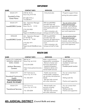| <b>NAME</b>                                          | <b>CONTACT INFO</b>                                                                                                             | <b>SERVICES</b>                                                                                                                                                       | <b>NOTES</b>                                                                                                                                                          |
|------------------------------------------------------|---------------------------------------------------------------------------------------------------------------------------------|-----------------------------------------------------------------------------------------------------------------------------------------------------------------------|-----------------------------------------------------------------------------------------------------------------------------------------------------------------------|
| SIOUX CITY<br>Goodwill of the<br><b>Great Plains</b> | 3100 W. 4th St.<br>Sioux City, IA 51103<br>877-608-7775 or<br>712-258-4511                                                      | - Entry-level jobs                                                                                                                                                    | - Programs support those<br>exiting the justice system.                                                                                                               |
| SIOUX CITY<br><b>IowaWORKS Center</b>                | Attn: Operation Manager<br>2508 4th St.<br>Sioux City, IA 51101<br>(712) 233-9030<br>Email:<br>Region12.Web@iwd.iowa.gov        | <b>IWD (lowaWORKS)</b><br>provides help with<br>resumes, job applications,<br>training/education and<br>more.<br>- Have computers, job<br>listings and staff to help. | - You can write to them<br>before leaving prison.<br>- Include: your skills/job<br>interests, resume (if you<br>have one) and a little about<br>your work experience. |
| <b>SPENCER</b><br><b>lowaWORKS Center</b>            | Attn: Operation Manager<br>217 W Fifth St.<br>Spencer, IA 51301<br>(712) 262-1971<br>Email:<br>Region3and4.Web@iwd.iowa.<br>gov | <b>IWD (lowaWORKS)</b><br>provides help with<br>resumes, job applications,<br>training/education and<br>more.<br>- Have computers, job<br>listings and staff to help. | - You can write to them<br>before leaving prison.<br>- Include: your skills/job<br>interests, resume (if you<br>have one) and a little about<br>your work experience. |

#### **HEALTH CARE**

| <b>NAME</b>                                                                                | <b>CONTACT INFO</b>                                                                          | <b>SERVICES</b>                                                                                                                                                                        | <b>NOTES</b>                                                                                                     |
|--------------------------------------------------------------------------------------------|----------------------------------------------------------------------------------------------|----------------------------------------------------------------------------------------------------------------------------------------------------------------------------------------|------------------------------------------------------------------------------------------------------------------|
| SIOUX CITY, CHEROKEE,<br>DENISON, HARLAN, LE<br>MARS, ONAWA<br>Jackson Recovery<br>Centers | 800 5th St.<br>Sioux City, IA 51101<br>(712) 234-2300<br>https://www.jacksonrecovery<br>.com | Walk-in appointments,<br>assessments, consultation<br>- Women's Center and<br><b>Sanctuary Apartments</b><br>- Inpatient/outpatient<br>- Substance abuse and<br>mental health services | - Sliding scale fees<br>- Accept Medicaid<br>- Available for both men<br>and women<br>- Possible parole location |
| SIOUX CITY<br>Siouxland Community<br>Health<br>*RECOMMENDED<br><b>PLACE TO START</b>       | 1021 Nebraska St.<br>Sioux City, IA 51105<br>712-252-2477                                    | - Health care services:<br>mental health, substance<br>use, primary care physician,<br>dental.<br>- Will also help connect<br>with other resources.                                    | - You can contact them<br>from prison<br>- Sliding scale fee<br>- Positive and supportive                        |
| <b>SIOUX CITY</b><br><b>Transitional Services</b>                                          | 1221 Pierce St.<br>Sioux City, IA 51105<br>712-255-0204                                      | - Mental health care<br>services including<br>substance use.<br>- Will also help connect<br>with other resources.                                                                      | - You can contact them<br>from prison<br>- Sliding scale fee<br>- Positive and supportive                        |

# **4th JUDICIAL DISTRICT** (Council Bluffs and area)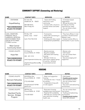# **COMMUNITY SUPPORT (Connecting and Mentoring)**

| <b>NAME</b>                                                                                                                                                                              | <b>CONTACT INFO</b>                                                                                                              | <b>SERVICES</b>                                                                                                                                                                             | <b>NOTES</b>                                                                                                                                               |
|------------------------------------------------------------------------------------------------------------------------------------------------------------------------------------------|----------------------------------------------------------------------------------------------------------------------------------|---------------------------------------------------------------------------------------------------------------------------------------------------------------------------------------------|------------------------------------------------------------------------------------------------------------------------------------------------------------|
| <b>STATEWIDE</b><br>Hope4Healing<br>*RECOMMENDED<br>PLACE TO START                                                                                                                       | P.O. Box 48,<br>Gladbrook, IA<br>50635<br>855-584-4673<br>Mon-Friday 8-5                                                         | - Assist with finding<br>resources in your<br>community<br>- Connect with a church to<br>provide mentor and other<br>support                                                                | - A Christian-based<br>organization.<br>- Will go the extra mile<br>to help you find the<br>resources you need.<br>- You can write to them<br>from prison. |
| CASS, CRAWFORD,<br>FREMONT, MILLS,<br>HARRISON, MONONA,<br>MONTGOMERY, PAGE,<br><b>SHELBY &amp; POTTAWA-</b><br><b>TTOMIE</b> counties<br><b>West Central</b><br><b>Community Action</b> | <b>PO Box 709</b><br>Harlan, Iowa<br>51537<br>Call: (712) 755-5135                                                               | - Food pantry<br>- Assist with connecting to<br>area resources<br>- Clothing and other needs<br>- Employment possibilities.                                                                 | - They have offices in most<br>counties in South/Central<br>Western Iowa<br>- Contact central office to<br>find location in your county                    |
| <b>COUNCIL BLUFFS</b><br>Hope Net<br><b>*RECOMMENDED</b><br><b>PLACE TO START</b>                                                                                                        | 313 Story St.<br>Council Bluffs, IA 51503<br>402 - 321-1313<br>www.hopenetministries.org<br>jstephenshopeaftercare@g<br>mail.com | - Reentry services<br>- Bicycles available<br>- Will assist with locating<br>housing<br>- Winners' Circle is a<br>peer-driven support group<br>of, and for, formerly<br>incarcerated women. | - Women only<br>- Faith based<br>- You can contact them<br>from prison<br>- Very encouraging and<br>supportive                                             |

| <b>NAME</b>                                                                       | <b>CONTACT INFO</b>                                      | <b>SERVICES</b>                                                                                                                                               | <b>NOTES</b>                                                                                                                             |
|-----------------------------------------------------------------------------------|----------------------------------------------------------|---------------------------------------------------------------------------------------------------------------------------------------------------------------|------------------------------------------------------------------------------------------------------------------------------------------|
| <b>COUNCIL BLUFFS</b>                                                             | 634 Willow Ave.<br>Council Bluffs, IA 51501              | - Sober and supportive<br>housing.<br>- 2 houses for men; 1 house                                                                                             | - Faith-based.<br>- Possible parole location<br>- Not available for SO's.                                                                |
| Remnant Fellowship<br><b>*RECOMMENDED</b><br><b>PLACE TO START</b>                | $(712)$ 435-8368<br>sherylbostwick71391@<br>gmail.com    | for women<br>- Cooperative living with<br>on-site support.                                                                                                    | - You can contact them<br>from prison.<br>- Very warm and welcoming<br>environment.                                                      |
| <b>COUNCIL BLUFFS</b><br><b>Heartland Family</b><br>Services - Bridges<br>Program | 600 9th Ave.<br>Council Bluffs, IA 51501<br>712-325-5653 | - Short-term housing<br>available (men and women)<br>- Potential SO availability.<br>- Will help you connect with<br>area resources including<br>health care. | - You can contact them<br>from prison.<br>- Trusting and welcoming<br>environment.<br>- Possible parole location<br>- Some SO's allowed. |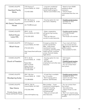| <b>COUNCIL BLUFFS</b><br><b>Heartland Family</b><br>Works                                         | 1722 Avenue C<br>Council Bluffs, IA 51501<br>712-435-5383                                                                          | - Long-term residential<br>substance abuse and<br>mental health program.<br>- Women and children only                                                                                                      | - Need to have ASAM<br>substance abuse<br>evaluation.<br>- Only for those<br>incarcerated less than one<br>year.                                                           |
|---------------------------------------------------------------------------------------------------|------------------------------------------------------------------------------------------------------------------------------------|------------------------------------------------------------------------------------------------------------------------------------------------------------------------------------------------------------|----------------------------------------------------------------------------------------------------------------------------------------------------------------------------|
| <b>COUNCIL BLUFFS</b><br><b>4th District Transitional</b><br>House                                | 901-8th Avenue<br>Council Bluffs, IA 51501<br>Jen.Foltz@iowa.gov                                                                   | - Housing option for men<br>who have a disability.                                                                                                                                                         | - Possible parole location<br>- Available for SO's.<br>- Shared living.                                                                                                    |
| <b>COUNCIL BLUFFS</b><br>Oxford House:<br><b>Loess Hills</b>                                      | 200 S. 1st St.<br>Council Bluffs, IA 51503<br>(712) 355-3232                                                                       | - Sober, cooperative,<br>self-governing housing<br>option.<br>- They can help you<br>connect to area resources.                                                                                            | - Possible parole location<br>- A 12-step focused<br>community.<br>- This house is for women.                                                                              |
| <b>COUNCIL BLUFFS</b><br>Micah House                                                              | 1415 Avenue J<br>Council Bluffs, IA 51501<br>(712) 323-4416<br>http://www.themicahhouse.<br>org/                                   | Emergency shelter for<br>women and families.<br>Also: credit issues,<br>transitional housing,<br>counseling, parenting skills,<br>health services, computer<br>access, financial classes,<br>legal advice. | - If you meet with them,<br>you can access services.<br>- Not always an approved<br>parole location.<br>- Not available for SO's                                           |
| <b>COUNCIL BLUFFS</b><br>Church of Freedom                                                        | 701 S. 4th St.<br>51503<br>Council Bluffs, IA<br>Pastor Bart<br>402-714-3618<br>Pastor Donnie:<br>402-960-2237, or<br>712-256-5558 | - Housing option for men.<br>- 5 beds.<br>- Will help with<br>employment and other area<br>resources.                                                                                                      | - Faith-based.<br>- Men only.<br>- Possible parole location<br>- Not available for SO's.<br>- You can contact them<br>from prison.                                         |
| <b>COUNCIL BLUFFS</b><br><b>Woodspring Suites</b>                                                 | 3541 14th Ave<br>Council Bluffs, IA<br>51501<br>712-388-8000                                                                       | - A hotel that is available<br>for 1-2 months.<br>- Rent must be paid in<br>advance. (\$378/week)                                                                                                          | - Possible parole location<br>- Available for SO's.<br>- Used to be Value Place.<br>- Very expensive.                                                                      |
| <b>COUNCIL BLUFFS</b><br><b>New Visions</b><br>(Timothy House, Joshua<br>House and David's House) | 1435 N. 15th St.<br>Council Bluffs, IA 51501<br>(712) 256-3940<br>www.mohmsplace.org                                               | Men's shelter: 2-year<br>transitional living program,<br>long-term housing,<br>support meetings,<br>counseling staff<br>- Help you connect with<br>area resources.                                         | - You can contact them<br>from prison.<br>- Very welcoming.<br>- Joshua House is a wet<br>shelter.<br>- Won't turn anyone away,<br>but not an approved parole<br>location. |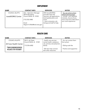| <b>NAME</b>             | <b>CONTACT INFO</b>                       | <b>SERVICES</b>                                      | <b>NOTES</b>                                            |
|-------------------------|-------------------------------------------|------------------------------------------------------|---------------------------------------------------------|
| <b>COUNCIL BLUFFS</b>   | Attn: Operation Manager<br>300 W Broadway | <b>IWD (lowaWORKS)</b><br>provides help with         | - You can write to them<br>before leaving prison.       |
| <b>lowaWORKS Center</b> | Council Bluffs, IA 51503                  | resumes, job applications,<br>training/education and | - Include: your skills/job<br>interests, resume (if you |
|                         | (712) 352-3480                            | more.<br>- Have computers, job                       | have one) and a little about<br>your work experience.   |
|                         | Email:                                    | listings and staff to help.                          |                                                         |
|                         | Region13.Web@iwd.iowa.gov                 |                                                      |                                                         |

| <b>NAME</b>                           | <b>CONTACT INFO</b>                          | <b>SERVICES</b>                                     | <b>NOTES</b>                          |
|---------------------------------------|----------------------------------------------|-----------------------------------------------------|---------------------------------------|
| <b>COUNCIL BLUFFS</b>                 | 902 S. 6th Steet<br>Council Bluffs, IA 51501 | - Health care services:<br>mental health, substance | - You can contact them<br>from prison |
| All Care Health Center                | 712-256-6582                                 | use, primary care physician,<br>dental.             | - Sliding scale fee                   |
| *RECOMMENDED<br><b>PLACE TO START</b> |                                              | - Will also help connect<br>with other resources.   | - Positive and supportive             |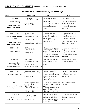## **5th JUDICIAL DISTRICT** (Des Moines, Ames, Newton and area)

| <b>NAME</b>                                                                                     | <b>CONTACT INFO</b>                                                                                               | <b>SERVICES</b>                                                                                                                                                   | <b>NOTES</b>                                                                                                                                                             |
|-------------------------------------------------------------------------------------------------|-------------------------------------------------------------------------------------------------------------------|-------------------------------------------------------------------------------------------------------------------------------------------------------------------|--------------------------------------------------------------------------------------------------------------------------------------------------------------------------|
| <b>STATEWIDE</b><br>Hope4Healing<br><b>*RECOMMENDED</b><br><b>PLACE TO START</b>                | P.O. Box 48,<br>Gladbrook, IA<br>50635<br>855-584-4673<br>Mon-Friday 8-5                                          | - Assist with finding<br>resources in your<br>community<br>- Help you connect with a<br>church to provide<br>mentoring and other<br>support                       | - A Christian-based<br>organization.<br>- Will go the extra mile<br>to help you find the<br>resources you need.<br>- You can write to them<br>from prison.               |
| <b>DES MOINES</b><br>Society of St. Vincent<br>de Paul<br>*RECOMMENDED<br><b>PLACE TO START</b> | % Randi Radosevich<br>1426 6th Ave.<br>Des Moines, IA 50314<br>(515) 282-8327<br>resourcedirector@svdpdsm.<br>org | - Reentry resources<br>including employment.<br>- Food pantry, clothing,<br>and furniture<br>- Will help connect with<br>area resources                           | - They understand the<br>challenge of reentry.<br>- Nobody turned away.<br>- You can write to them<br>from prison.<br>- Mentoring available for<br>those in the program. |
| <b>DES MOINES</b><br><b>Urban Dreams</b>                                                        | 601 Forest Ave.<br>Des Moines, 50314<br>515-288-4742                                                              | - Employment preparation<br>- Internet/phone available.<br>- Substance use and mental<br>health support.<br>- FAFSA prep/academic<br>counseling and registration. | - Positive and encouraging<br>people.<br>- Can contact before<br>leaving prison.<br>- Help connect with area<br>resources.                                               |
| <b>DES MOINES</b><br><b>Creative Visions</b><br>(Ex-Offender & Family<br>Reunification Program) | 1343 13th St<br>Des Moines, IA 50314<br>(515) 244-4003<br>Ako Abdul-Samad (director)                              | - Provides employment<br>support for people who<br>have been to prison and<br>others.                                                                             | Also have food pantry,<br>education programs and<br>other assistance.                                                                                                    |
| <b>DES MOINES</b><br>Celebrate Recovery                                                         | 925 Jordan Creek Pkwy.<br>West Des Moines, IA 50266<br>515-222-1520                                               | - Supportive people<br>- Weekly meetings that<br>provides a healing, healthy<br>environment for adults<br>affected by hurts,<br>hang-ups, and habits.             | - Christian-based recovery<br>program.<br>- You can contact them<br>from prison.                                                                                         |
| <b>DES MOINES</b><br>Des Moines Catholic<br>Worker                                              | <b>Bishop Dingman House</b><br>(Drop-In Center)<br>1310 7th St.<br>Des Moines, IA 50314<br>(515) 214-1030         | - Showers are available the<br>first two hours the house is<br>open<br>-Clothing, food, toiletries<br>- A phone is available.<br>- Can receive mail here.         | You don't have to be<br>Catholic.                                                                                                                                        |
| <b>DES MOINES</b><br>Evelyn K. Davis Center<br>for Working Families                             | 1171 7th St.<br>Des Moines, IA 50314<br>(515) 697-7700                                                            | - Job search, interview<br>prep, certificate training,<br>resume, job placement,<br>Adult Education, FASFA,<br>credit repair and EITC.                            | Offers fatherhood course<br>geared (in part) toward<br>formerly incarcerated<br>fathers.                                                                                 |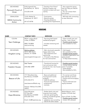| <b>DES MOINES</b><br>Plymouth Church of<br>Christ    | 4126 Ingersoll Ave.<br>Des Moines, IA 50312<br>515-255-3149 | "Transition from Prison"<br>Ministry Program has<br>mentors to assist with your<br>reentry. | - Very supportive group<br>that can help you rebuild<br>your life.<br>- You can contact them<br>from prison. |
|------------------------------------------------------|-------------------------------------------------------------|---------------------------------------------------------------------------------------------|--------------------------------------------------------------------------------------------------------------|
| <b>OSKALOOSA</b><br><b>SIEDA Community</b><br>Action | 114 N. Market St.<br>Oskaloosa, IA 52577<br>641-673-8758    | - Food pantry<br>- Resource guide<br>- Housing assistance<br>including list of apartments   | - Will help with connecting<br>to area resources.                                                            |

| <b>NAME</b>                                | <b>CONTACT INFO</b>                                                                                                            | <b>SERVICES</b>                                                                                                                                                                               | <b>NOTES</b>                                                                                                                                            |
|--------------------------------------------|--------------------------------------------------------------------------------------------------------------------------------|-----------------------------------------------------------------------------------------------------------------------------------------------------------------------------------------------|---------------------------------------------------------------------------------------------------------------------------------------------------------|
| <b>COLFAX</b><br><b>Teen Challenge</b>     | 900 N. League Road<br>Colfax, IA 50054<br>(800) 718-8804<br>www.tcmid.org                                                      | - Year-long faith-based<br>residential program.<br>- Includes mentoring and<br>classes.                                                                                                       | - Open to both men and<br>women. (over 18-yrs)<br>- Possible parole location<br>- Not available for SO's.                                               |
| <b>DES MOINES</b><br>Kingdom Living        | Mailing address:<br>763 S. 60th Ave E<br>Newton, IA 50208<br>www.kingdomlivingia.com                                           | - Safe, structured, peaceful,<br>happy sober living<br>- Very supportive and<br>welcoming.<br>- 5 houses in Des Moines<br>for men and women.                                                  | - Faith-based.<br>- Not available for SO's.<br>- Possible parole location<br>- Excellent organization and<br>great people.<br>- 12 Step based recovery. |
| <b>DES MOINES</b><br><b>Freedom Houses</b> | Deb Theeler<br>(515) 402--6909                                                                                                 | - Transitional housing for<br>men and women (two<br>houses for men, two houses<br>for women)                                                                                                  | - Possible parole location<br>- Contact before leaving<br>prison if possible.<br>- Great people.<br>- Not available for SO's.                           |
| <b>DES MOINES</b><br>Beacon of Life        | 1717 Woodland Ave.<br>Des Moines, IA 50309<br>(515) 244-4713<br>www.beaconoflifedm.org<br>Director: Melissa Vine (MA,<br>LMHC) | - Base and additional<br>housing (6-24 month)<br>program:<br>- health & wellness<br>- financial empowerment<br>- employment<br>- recovery                                                     | - For women and those<br>who identify as women.<br>- Positive and encouraging<br>people.<br>- Trauma-informed and<br>equity-centered                    |
| <b>DES MOINES</b><br>Hope Ministries       | <b>Hope Ministries</b><br>P.O. Box 862<br>Des Moines, IA 50304<br>(515) 265-7272<br>Email: info@hopeiowa.org                   | - Shelter (both crisis and<br>long-term) and meals<br>- low-cost, good-quality<br>clothing, household goods,<br>shoes, furniture<br>- substance use counseling<br>- GED & life skills classes | Bethel Mission: men's<br>shelter (1310 6th Ave)<br>Door of Faith: For Men<br>- Possible parole location<br>- Certain SO's allowed.                      |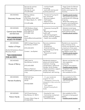|                                                                                                                           | Services for women:<br>515-264-0144<br>Services for men:<br>515-244-5445                                                          | - nutrition/health<br>counseling<br>- work skills training and<br>business practicum                                                                                                                                  | - Hope Center for Women<br>and Children: short-term<br>shelter and long-term life<br>recovery.                                                                                                                                        |
|---------------------------------------------------------------------------------------------------------------------------|-----------------------------------------------------------------------------------------------------------------------------------|-----------------------------------------------------------------------------------------------------------------------------------------------------------------------------------------------------------------------|---------------------------------------------------------------------------------------------------------------------------------------------------------------------------------------------------------------------------------------|
| <b>DES MOINES</b><br><b>Discovery House</b>                                                                               | Mailing address:<br>Ken Silver<br>4745 Estero Blvd. #201<br>Ft. Myers Beach, FL 33931<br>515-499-6486                             | - Transitional housing for<br>men. (3 houses)<br>- Recovery support.<br>- Faith based.<br>- Need to have<br>employment set up.                                                                                        | - Possible parole location<br>- Very positive group who<br>understands the challenge<br>of reentry.<br>- Write letter stating your<br>situation and employment.<br>- Not available for SO's.                                          |
| <b>DES MOINES</b><br><b>Central Iowa Shelter</b><br>and Services<br><b>*RECOMMENDED</b><br><b>PLACE TO START</b>          | 1420 Mulberry Street<br>Des Moines, IA 50309<br>(515) 284-5719<br>(515) 883-1692<br>Email:<br>director@centraliowashelter<br>.org | - Temporary housing (90<br>day)<br>- Recovery and mental<br>health staff.<br>- Job training program<br>(Kitchen, janitorial, garden)<br>- Health care available                                                       | - Nobody turned away.<br>- Good place to get started<br>while finding housing.<br>- Possible parole location.                                                                                                                         |
| <b>DES MOINES</b><br>Harbor of Hope<br>Alcohol & Substance Abuse<br>Recovery House<br><b>*RECOMMENDED</b><br>FOR AA INFO. | 3650 Cottage Grove Ave.<br>Des Moines, IA 50311<br>(515) 244-0370<br>Contact: Joe Byrkett                                         | Recovery assistance:<br>- Education<br>- Employment<br>- Financial training<br>- Reconnecting to family<br>and friends<br>- Physical and mental<br>health                                                             | Residents are required to<br>stay a minimum of six<br>months and allowed to stay<br>a maximum of two years.<br>All residents are required to<br>pay \$550/a month rent.<br>- Possible parole location. -<br>- Not available for SO's. |
| <b>DES MOINES</b><br>House of Mercy                                                                                       | 1409 Clark St.<br>Des Moines, IA 50314<br>(515) 643-6500<br>Rebecca Peterson:<br>rpeterson@mercydesmoine<br>s.org                 | Residential substance<br>abuse and mental health<br>treatment, housing,<br>transportation, behavioral<br>therapy, family therapy,<br>relapse prevention, support<br>groups, education,<br>employment, skill training. | - Women and families only.<br>- Very supportive<br>community.<br>- Childcare and support.<br>- Possible parole location.<br>- Outpatient treatment for<br>men and women.<br>- Not available for SO's.                                 |
| <b>DES MOINES</b><br>Harvest Academy                                                                                      | 8769 G24 Hwy<br>Indianola, IA<br>50125<br>515-423-0004                                                                            | - 2+ year residential<br>program for men.<br>- Therapeutic community<br>designed to help overcome<br>barriers.<br>- Peer support.<br>- Shared housing (bunk<br>beds)                                                  | - Not available for SO's.<br>- Possible parole location<br>- Job training and<br>employment                                                                                                                                           |
| <b>DES MOINES</b><br>Patron Hands                                                                                         | 1612 Forest Avenue<br>Des Moines, IA 50314<br>Contact: Edwin Daye at<br>515-822-0076                                              | - Housing for men<br>- Community involvement<br>and engagement<br>- Fatherhood group                                                                                                                                  | - Not available for SO's.<br>- Focused on being good<br>fathers.<br>- Possible parole location.                                                                                                                                       |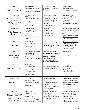| <b>DES MOINES</b><br>Dad's with Purpose                                                      | 1615 Arlington<br>Des Moines, IA 50314<br>515-339-1210 Keith Meeks                                                   | - Sober-living house<br>- Focused on being good<br>fathers.                                                                                                                     | - Have 24 beds.<br>- Not available for SO's.<br>- Possible parole location.                                                                                                                   |
|----------------------------------------------------------------------------------------------|----------------------------------------------------------------------------------------------------------------------|---------------------------------------------------------------------------------------------------------------------------------------------------------------------------------|-----------------------------------------------------------------------------------------------------------------------------------------------------------------------------------------------|
| <b>DES MOINES</b><br>The Salvation Army in<br>Des Moines<br>(Adult Rehabilitation<br>Center) | The Salvation Army<br>133 E. 2nd Street<br>Des Moines, IA 50309<br>Prefer phone contact:<br>(515) 243-4277           | Long-term residential<br>program for men:<br>- 6-level recovery system -<br>- six months minimum<br>- Individual and Group<br>Counseling<br>- Relapse Prevention                | - Not available for SO's.<br>- AA, NA, and Celebrate<br>Recovery<br>- Work therapy<br>- Faith based<br>- Possible parole location                                                             |
| <b>DES MOINES</b><br><b>YMCA Supportive</b><br>Housing                                       | 2 SW 9th Street<br>Des Moines, IA 50309<br>(515) 288-2424<br>Email:<br>supportivehousing@dmymc<br>a.org              | - Housing<br>- Transportation<br>- Laundry<br>- Computer lab<br>- Food/clothing                                                                                                 | - Have to qualify under Low<br>Income Housing Tax Credit.<br>- They will do a background<br>check.<br>- Often have a waiting list.<br>- Possible parole location<br>- Not available for SO's. |
| <b>DES MOINES</b><br>Tim's Club                                                              | PO Box 65533<br>West Des Moines, IA 50265<br>(515) 478-0985                                                          | - Bible-based recovery<br>housing.<br>- 2 houses in Des Moines<br>and 1 in Waukee                                                                                               | - Possible parole location.<br>- New organization.<br>- Have connection with<br>Celebrate Recovery.<br>- Not available for SO's.                                                              |
| <b>DES MOINES</b><br><b>Bernie Lorenz</b><br>Recovery                                        | 4018 Kingman Boulevard<br>Des Moines, IA 50311<br>(515) 262-0349<br>Email:<br>info@bernielorenzrecovery.<br>org      | Residential substance<br>abuse treatment; 60-90 day<br>program, vocational<br>training, education,<br>developing budget,<br>counseling services,<br>assistance in finding work. | - Women only<br>- Possible parole location.                                                                                                                                                   |
| <b>DES MOINES</b><br>Recovery in Action                                                      | PO Box 13342<br>Des Moines, IA 50310<br>3312 Fourth St.<br>Des Moines, IA 50313<br>(515) 249-7520                    | Sober, safe, and permanent<br>housing for those striving<br>for sobriety, accountability<br>and independence.                                                                   | - Need to get a sponsor.<br>- Must have legal<br>employment.<br>- Discharge only.<br>- Not available for SO's.                                                                                |
| <b>DES MOINES</b><br>Honest Journey                                                          | Honest Journey<br>1924 E. Bell Ave.<br>Des Moines, IA. 50320<br>515-219-4911                                         | - Transitional housing for<br>men.<br>- Need to be active in<br>recovery.<br>- Have single or double<br>rooms available                                                         | - Possible parole location<br>- Write letter stating your<br>situation and employment.<br>- Not available for SO's.                                                                           |
| <b>NEWTON</b><br>Discover Hope 5:17<br>*RECOMMENDED<br>PLACE TO START                        | 733 1st Ave. E<br>Newton, IA 50208<br>641-841-0598<br>Email:<br>info@discoverhope517.com<br>Contact: Bonnie Claussen | Re-entry and recovery -<br>- Employment help<br>- Housing available<br>- Substance use recovery<br>- Connecting with area<br>resources                                          | - Faith-based, but will work<br>with anyone needing help.<br>- Not available for SO's.<br>- Supportive and<br>encouraging. Great<br>people.<br>- Possible parole location.                    |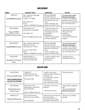| <b>NAME</b>                                                                            | <b>CONTACT INFO</b>                                                                                                                | <b>SERVICES</b>                                                                                                                                                       | <b>NOTES</b>                                                                                                                                                          |
|----------------------------------------------------------------------------------------|------------------------------------------------------------------------------------------------------------------------------------|-----------------------------------------------------------------------------------------------------------------------------------------------------------------------|-----------------------------------------------------------------------------------------------------------------------------------------------------------------------|
| <b>CRESTON</b><br><b>lowaWORKS Center</b>                                              | Attn: Operation Manager<br>215 N Elm St<br>Creston, IA 50801<br>(641) 782-2119<br>Email:<br>Region14.Web@iwd.iowa.gov              | <b>IWD (lowaWORKS)</b><br>provides help with<br>resumes, job applications,<br>training/education and<br>more.<br>- Have computers, job<br>listings and staff to help. | - You can write to them<br>before leaving prison.<br>- Include: your skills/job<br>interests, resume (if you<br>have one) and a little about<br>your work experience. |
| <b>DES MOINES</b><br>Project IOWA<br>(Iowa Opportunities for<br>Workforce Advancement) | 1420 Mulberry St.<br>Des Moines, Iowa 50309<br>(515) 280-1274<br>Email: office@projectiowa.org                                     | - They have options for<br>employment training.<br>- Include personal and<br>professional<br>development.<br>- Goal is for career track<br>and high wage jobs.        | - You can contact them<br>before leaving prison.<br>- Work with area<br>employers.<br>- Great people.<br>- No cost for classes and<br>program.                        |
| <b>DES MOINES</b><br><b>lowaWORKS Center</b>                                           | Attn: Operation Manager<br>200 Army Post Rd.<br>Des Moines, IA 50315<br>Phone: 515-281-9619<br>Email:<br>Region11.Web@iwd.iowa.gov | <b>IWD (lowaWORKS)</b><br>provides help with<br>resumes, job applications,<br>education/training and<br>more.<br>- Have computers, job<br>listings and staff to help. | - You can write to them<br>before leaving prison.<br>- Include: your skills/job<br>interests, resume (if you<br>have one) and a little about<br>your work experience. |
| <b>JOHNSTON</b><br><b>Goodwill of Central</b><br>lowa                                  | 5355 NW 86th St.<br>Johnston, Iowa 50131<br>Phone: (515) 265-5323                                                                  | - Forklift, custodial, retail<br>and food service<br>certifications.                                                                                                  | - Understands the<br>challenges of reentry.                                                                                                                           |

| <b>DES MOINES</b><br><b>Primary Health Care</b><br>*RECOMMENDED<br><b>PLACE TO START</b> | CONTACT:<br>1200 University Ave.<br>Des Moines, IA 50314<br>$(515)$ 248-1500             | - Health care services<br>including mental health and<br>substance use.<br>- Can help find a primary<br>care physician<br>- Can help with housing,<br>food, clothing and more. | - Sliding scale fee                                                                   |
|------------------------------------------------------------------------------------------|------------------------------------------------------------------------------------------|--------------------------------------------------------------------------------------------------------------------------------------------------------------------------------|---------------------------------------------------------------------------------------|
| <b>DES MOINES</b><br><b>Prelude Services</b><br>Central Iowa                             | 3451 Easton Blvd.<br>Des Moines, Iowa 50317<br>(515) 262-0349<br>Email: info@meccaia.com | - Prevention services for<br>addiction.<br>- Transitional housing.                                                                                                             | - Have Spanish-speaking<br>staff.<br>- You can contact them<br>before leaving prison. |
| <b>PRAIRIE CITY</b><br><b>Clearview Recovery</b>                                         | 501 North Sherman<br>Prairie City, Iowa 50228<br>(515) 994-3562                          | Substance abuse treatment,<br>parenting classes,<br>counseling, job training,<br>self-esteem improvement                                                                       | - Women only (children<br>allowed)                                                    |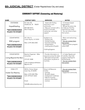# **6th JUDICIAL DISTRICT** (Cedar Rapids/Iowa City and area)

| <b>NAME</b>                                                                            | <b>CONTACT INFO</b>                                                                                                                  | <b>SERVICES</b>                                                                                                                                             | <b>NOTES</b>                                                                                                                                              |
|----------------------------------------------------------------------------------------|--------------------------------------------------------------------------------------------------------------------------------------|-------------------------------------------------------------------------------------------------------------------------------------------------------------|-----------------------------------------------------------------------------------------------------------------------------------------------------------|
| <b>STATEWIDE</b><br>Hope4Healing<br>*RECOMMENDED<br><b>PLACE TO START</b>              | P.O. Box 48,<br>50635<br>Gladbrook, IA<br>855-584-4673<br>Mon-Friday 8-5                                                             | - Assist with finding<br>resources in your<br>community<br>- Help you connect with a<br>church to provide<br>mentoring and other<br>support                 | - A Christian-based<br>organization.<br>- Will go the extra mile<br>to help you find the<br>resources you need.<br>- You can write to them<br>from prison |
| <b>CEDAR RAPIDS</b><br>RISE program<br><b>*RECOMMENDED</b><br><b>PLACE TO START</b>    | 901 29th St.<br>Cedar Rapids, IA 52404<br>Main: (319) 382-2350                                                                       | Guidance on:<br>- finding a job<br>- finding housing<br>- food and clothing<br>- transportation<br>- creating plans & goals<br>Clothing/hygiene             | - Warm and welcoming<br>people.<br>- You can contact them<br>from prison.<br>- Have a mentor program<br>called AMP.                                       |
| <b>CEDAR RAPIDS</b><br>Living Beyond the Bars<br>*RECOMMENDED<br><b>PLACE TO START</b> | Reentry Organizer: Mike<br>Cervantes<br>319-321-3048<br>mike.livingbeyondthebars<br>@gmail.com                                       | - Provide information on<br>resources across the state.<br>- Will assist and provide<br>information via phone or<br>Corrlinks.                              | - In Cedar Rapids and<br>Coralville, they hold<br>support meetings for<br>family/friends.<br>- You can contact them<br>from prison.                       |
| <b>IOWA CITY</b><br>Inside Out Reentry<br><b>*RECOMMENDED</b><br><b>PLACE TO START</b> | 500 N. Clinton Street<br>lowa City, IA 52245<br>Main: (319) 338-7996<br>Cell: (319) 621-6263<br>Email:<br>Hello@insideoutreentry.com | Drop-in & Resource<br>Center:<br>- tutoring<br>- life skills classes<br>- employment readiness<br>- Help for housing<br>- resource information<br>- mentors | - You can contact them<br>from prison.<br>- Supportive community.                                                                                         |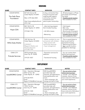#### **HOUSING**

| <b>NAME</b>                                         | <b>CONTACT INFO</b>                                                                                                         | <b>SERVICES</b>                                                                                                                                     | <b>NOTES</b>                                                                                                                                                              |
|-----------------------------------------------------|-----------------------------------------------------------------------------------------------------------------------------|-----------------------------------------------------------------------------------------------------------------------------------------------------|---------------------------------------------------------------------------------------------------------------------------------------------------------------------------|
| <b>CEDAR RAPIDS</b><br>The Safe Place<br>Foundation | 527 6th Avenue SE<br>Cedar Rapids, IA 52401<br>Main: (319) 366-3430<br>http://www.safeplacefound<br>ation.org/              | A drug- and alcohol-free<br>living environment with<br>ongoing staff support,<br>community volunteer<br>involvement and<br>peer-to-peer mentorship. | - 40 bed program: 6 Phase<br>One beds and 34 Phase<br>Two beds.<br>- Possible parole location<br>- Not available for SO's.                                                |
| <b>CEDAR RAPIDS</b><br>Hope CDA                     | 842 14th St. SE<br>Cedar Rapids, IA 52403<br>319-560-1196                                                                   | - Jobs training program<br>that includes housing.<br>- Life Skills classes<br>- Mentoring                                                           | - Faith-based.<br>- Men only.<br>- 12-month program<br>- Must be part of program<br>to be included in housing.<br>- Possible parole location<br>- Not available for SO's. |
| <b>CEDAR RAPIDS</b><br><b>Willis Dady Shelter</b>   | 1247 4th Ave. SE<br>Cedar Rapids, IA 52403<br><b>CONTACT:</b><br>Waypoint Shelter and<br>Housing Services::<br>319-366-7999 | - Shelter available for men<br>and women with children.<br>- Help connect with<br>community resources<br>- Case management                          | - This is a good place to<br>start as you look for<br>permanent housing.<br>- Welcoming and warm.<br>- Not a parole location,<br>possible for discharge.                  |
| <b>IOWA CITY</b><br><b>Prelude Services</b>         | 430 Southgate Ave.<br>lowa City, IA 52240<br>319-351-4357                                                                   | - Prevention services for<br>addiction.<br>- Transitional housing.                                                                                  | - You can contact them<br>before leaving prison.<br>- Possible parole location<br>- Not available for SO's.                                                               |

#### **EMPLOYMENT**

| <b>NAME</b>                                    | <b>CONTACT INFO</b>                                                                                                            | <b>SERVICES</b>                                                                                                                                                       | <b>NOTES</b>                                                                                                                                                          |
|------------------------------------------------|--------------------------------------------------------------------------------------------------------------------------------|-----------------------------------------------------------------------------------------------------------------------------------------------------------------------|-----------------------------------------------------------------------------------------------------------------------------------------------------------------------|
| <b>CEDAR RAPIDS</b><br><b>lowaWORKS Center</b> | Attn: Operation Manager<br>4444 1st Ave. NE<br>Cedar Rapids, IA 52402<br>(319) 365-9474<br>Email:<br>Region10.Web@iwd.iowa.gov | <b>IWD (lowaWORKS)</b><br>provides help with<br>resumes, job applications,<br>training/education and<br>more.<br>- Have computers, job<br>listings and staff to help. | - You can write to them<br>before leaving prison.<br>- Include: your skills/job<br>interests, resume (if you<br>have one) and a little about<br>your work experience. |
| <b>IOWA CITY</b><br><b>lowaWORKS Center</b>    | Attn: Operation Manager<br>1700 S 1st Ave.<br>lowa City, IA 52240<br>(319) 351-1035<br>Email:<br>Region10.Web@iwd.iowa.gov     | <b>IWD (lowaWORKS)</b><br>provides help with<br>resumes, job applications,<br>training/education and<br>more.<br>- Have computers, job<br>listings and staff to help. | - You can write to them<br>before leaving prison.<br>- Include: your skills/job<br>interests, resume (if you<br>have one) and a little about<br>your work experience. |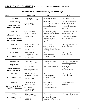| <b>NAME</b>                                                                                   | <b>CONTACT INFO</b>                                                                             | <b>SERVICES</b>                                                                                                                                                 | <b>NOTES</b>                                                                                                                                               |
|-----------------------------------------------------------------------------------------------|-------------------------------------------------------------------------------------------------|-----------------------------------------------------------------------------------------------------------------------------------------------------------------|------------------------------------------------------------------------------------------------------------------------------------------------------------|
| <b>STATEWIDE</b><br>Hope4Healing<br><b>*RECOMMENDED</b><br><b>PLACE TO START</b>              | P.O. Box 48,<br>Gladbrook, IA<br>50635<br>855-584-4673<br>Mon-Friday 8-5                        | - Assist with finding<br>resources in your<br>community<br>- Help you connect with a<br>church to provide<br>mentoring and other<br>support.                    | - A Christian-based<br>organization.<br>- Will go the extra mile<br>to help you find the<br>resources you need.<br>- You can write to them<br>from prison. |
| <b>CLINTON</b><br><b>Information Referral</b><br><b>*RECOMMENDED</b><br><b>PLACE TO START</b> | 415 S. 3rd Street<br>Clinton, IA 52732<br>563-243-5818                                          | - Housing assistance<br>including list of landlords<br>and rent assistance.<br>- Connect with area<br>resources for food,<br>clothing, health care and<br>more. | - They are connected to<br>area agencies and<br>churches.<br>- Committed to helping<br>and they know the<br>community very well.                           |
| <b>CLINTON</b><br><b>Community Action</b>                                                     | 242 N Bluff Blvd. #203<br>Clinton IA 52732<br>(866) 243-5220                                    | - Food pantry<br>- Resource guide<br>- Housing assistance<br>including list of apartments                                                                       | - Will help with connecting<br>to area resources                                                                                                           |
| <b>DAVENPORT</b><br><b>Community Action</b>                                                   | 500 East 59th Street,<br>Davenport, IA 52807<br>(866) 324-3236                                  | - Food pantry<br>- Resource guide<br>- Housing assistance<br>including list of apartments                                                                       | - Will help with connecting<br>to area resources                                                                                                           |
| <b>ROCK ISLAND</b><br>Project Now<br><b>*RECOMMENDED</b><br><b>PLACE TO START</b>             | 418 19th St.<br>Rock Island, IL: 61201<br>(309) 793-6391<br>www.projectnow.org                  | - Housing assistance<br>including list of apartments<br>- Basic needs assistance.                                                                               | - Can help even if you are<br>not an Illinois resident.<br>- Call to make<br>appointment.<br>- Supportive and<br>encouraging staff                         |
| <b>MUSCATINE</b><br><b>Community Action</b>                                                   | 1903 Park Ave. #18<br>Muscatine IA 52761<br>(563) 263-9290                                      | - Food pantry<br>- Resource guide<br>- Housing assistance<br>including list of apartments                                                                       | - Will help with connecting<br>to area resources                                                                                                           |
| <b>MUSCATINE</b><br>Jesus Mission Church/<br>Pearl City Outreach                              | 509 Mulberry Ave.<br>Muscatine, IA 52761<br>(563)264-5430<br>Or Sharon Phillips<br>563-264-3805 | - Helps with jobs<br>- Rides to work<br>- Sack lunches<br>- Laundry and showers                                                                                 | - Emergency shelter<br>available.<br>- No cost.                                                                                                            |
| <b>TIPTON</b><br><b>Community Action</b>                                                      | 101 Lynn Street<br>Tipton IA 52772<br>563-886-3191                                              | - Food pantry<br>- Resource guide<br>- Housing assistance<br>including list of apartments                                                                       | - Will help with connecting<br>to area resources                                                                                                           |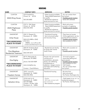| <b>NAME</b>                                                                            | <b>CONTACT INFO</b>                                                                                                                      | <b>SERVICES</b>                                                                                                                                                                        | <b>NOTES</b>                                                                                                                                                                          |
|----------------------------------------------------------------------------------------|------------------------------------------------------------------------------------------------------------------------------------------|----------------------------------------------------------------------------------------------------------------------------------------------------------------------------------------|---------------------------------------------------------------------------------------------------------------------------------------------------------------------------------------|
| <b>CLINTON</b><br><b>ASAC/King House</b>                                               | 2219 Garfield St.<br>Clinton, IA<br>52732<br>563-242-6805                                                                                | - Sober housing available.<br>- Need ASAM assessment<br>to qualify.<br>- Residential substance<br>abuse services for men.                                                              | - You can contact them<br>from prison.<br>- Possible parole location<br>- Some SO's allowed.                                                                                          |
| <b>CLINTON</b><br>ASAC/Hightower<br>Place                                              | 2727 S. 19th Street<br>Clinton, IA 52732<br>(563) 242-2042                                                                               | - Sobre housing available.<br>- Need ASAM assessment<br>to qualify.<br>- Residential substance<br>abuse services for women.                                                            | - Work with prison<br>counselor on applying.<br>- Possible parole location                                                                                                            |
| <b>DAVENPORT</b><br><b>Unity House</b><br><b>*RECOMMENDED</b><br><b>PLACE TO START</b> | 2341 E. Pleasant St.<br>Davenport, IA 52803<br>(563) 676-5488 or (563)<br>210-1513<br>EMAIL: eric.hoffmann@<br>unityhouseofdavenport.org | - Transitional housing.<br>- Semi-structured sober<br>and recovery living.                                                                                                             | - They have six houses. -<br>- Online application can be<br>printed off and mailed in.<br>- Possible parole location<br>- Not available for SO's.                                     |
| <b>DAVENPORT</b><br><b>Pine Meadows</b><br><b>Residential Treatment</b>                | 4656 W. Kimberly Road<br>Davenport, IA 52806<br>(563) 345-5673                                                                           | - Residential care facility<br>for those with mental<br>health illness.                                                                                                                | - Work with counselor on<br>applying.<br>- Possible parole location                                                                                                                   |
| <b>DAVENPORT</b><br>One Eighty<br><b>*RECOMMENDED</b><br><b>PLACE TO START</b>         | 601 N. Marquette St.<br>Davenport, IA 52802<br>phone: 563-424-4589<br>www.oneeighty.org<br>Contact: Chad Williams                        | Houses men and women<br>coming out of<br>incarceration, domestic<br>abuse, sex trafficking,<br>homelessness or<br>addiction. Assigns mentor<br>and helps with furthering<br>education. | - 14-month program.<br>- Home-like setting and<br>great people.<br>- Possible parole location<br>- Not available for SO's.<br>- Faith based<br>- You can contact them<br>from prison. |
| <b>DAVENPORT</b><br>Freedom Homes                                                      | 720 E. Locust St.<br>Davenport, IA 52803<br>(563) 326-4056                                                                               | Transitional housing.                                                                                                                                                                  | - No time limit.<br>- Semi-structured.<br>- No Parole, Discharge only                                                                                                                 |
| <b>DAVENPORT</b><br><b>Salvation Army</b>                                              | 310 W. 6th St. #1<br>Davenport, IA 52803<br>563-324-4808<br>Contact: PO Box 1656<br>Davenport, IA 52806                                  | - Shelter<br>- Will help connect with<br>area resources<br>- Rent assistance program                                                                                                   | .- Faith based, 6 mo. to 1 yr<br>residential program.<br>- No Parole, Discharge only                                                                                                  |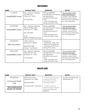| <b>NAME</b>                                 | <b>CONTACT INFO</b>                                                                                                          | <b>SERVICES</b>                                                                                                                                                       | <b>NOTES</b>                                                                                                                                                          |
|---------------------------------------------|------------------------------------------------------------------------------------------------------------------------------|-----------------------------------------------------------------------------------------------------------------------------------------------------------------------|-----------------------------------------------------------------------------------------------------------------------------------------------------------------------|
| <b>CLINTON</b><br><b>lowaWORKS Center</b>   | Attn: Operation Manager<br>105 Main Ave.<br>Clinton, IA 52732<br>319-423-0333                                                | <b>IWD (lowaWORKS)</b><br>provides help with resumes,<br>job applications,<br>education/training and<br>more.<br>- Have computers, job<br>listings and staff to help. | - You can write to them<br>before leaving prison.<br>- Include: your skills/job<br>interests, resume (if you<br>have one) and a little about<br>your work experience. |
| <b>DAVENPORT</b><br><b>lowaWORKS Center</b> | Attn: Operation Manager<br>1801 E. Kimberly Rd.<br>Davenport, IA 52806<br>563-445-3200<br>Email:<br>Region9.Web@iwd.iowa.gov | <b>IWD (lowaWORKS)</b><br>provides help with resumes,<br>job applications,<br>education/training and<br>more.<br>- Have computers, job<br>listings and staff to help. | - You can write to them<br>before leaving prison.<br>- Include: your skills/job<br>interests, resume (if you<br>have one) and a little about<br>your work experience. |
| <b>DAVENPORT</b><br><b>Safer Foundation</b> | 1702 N. Main St.<br>Davenport, IA 52803<br>(563) 322-7002<br>Contact: Sue Davison                                            | Employment:<br>- Orientation, intake, and<br>retention for employment<br>- ACE program for those<br>looking for a career.                                             |                                                                                                                                                                       |
| <b>MUSCATINE</b><br><b>lowaWORKS Center</b> | Attn: Operation Manager<br>1903 Park Ave. #18<br>Muscatine, IA 52761<br>319-423-0333                                         | <b>IWD (lowaWORKS)</b><br>provides help with resumes,<br>job applications,<br>education/training and<br>more.<br>- Have computers, job<br>listings and staff to help. | - You can write to them<br>before leaving prison.<br>- Include: your skills/job<br>interests, resume (if you<br>have one) and a little about<br>your work experience. |

| <b>NAME</b>                           | <b>CONTACT INFO</b>                       | <b>SERVICES</b>                                                                              | <b>NOTES</b>                                         |
|---------------------------------------|-------------------------------------------|----------------------------------------------------------------------------------------------|------------------------------------------------------|
| <b>DAVENPORT</b>                      | 500 W. River Drive<br>Davenport, IA 52801 | - They have social workers<br>to help connect with                                           | - Friendly and helpful staff.<br>- Sliding-scale fee |
| <b>Community Health</b><br>Care       | (563) 336-3000                            | community resources<br>including housing.                                                    |                                                      |
| *RECOMMENDED<br><b>PLACE TO START</b> | Contact person: Bob Davis                 | - Provide a variety of<br>medical services including<br>getting a primary care<br>physician. |                                                      |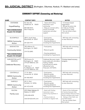| <b>NAME</b>                                                                           | <b>CONTACT INFO</b>                                                                                                                | <b>SERVICES</b>                                                                                                                                    | <b>NOTES</b>                                                                                                                                                                                                    |
|---------------------------------------------------------------------------------------|------------------------------------------------------------------------------------------------------------------------------------|----------------------------------------------------------------------------------------------------------------------------------------------------|-----------------------------------------------------------------------------------------------------------------------------------------------------------------------------------------------------------------|
| <b>STATEWIDE</b><br>Hope4Healing<br><b>*RECOMMENDED</b><br><b>PLACE TO START</b>      | P.O. Box 48,<br>Gladbrook, IA<br>50635<br>855-584-4673<br>Mon-Friday 8-5                                                           | - Assist with finding<br>resources in your<br>community<br>- Help you connect with a<br>church to provide<br>mentoring and other<br>support        | - A Christian-based<br>organization.<br>- Will go the extra mile<br>to help you find the<br>resources you need.<br>- You can write to them<br>from prison.                                                      |
| <b>BLOOMFIELD</b><br><b>SIEDA Community</b><br>Action                                 | 300 E. South Stree<br>Bloomfield, IA 52537<br>641-664-1911                                                                         | - Food pantry<br>- Resource guide<br>- Housing assistance<br>including list of apartments                                                          | - Will help with connecting<br>to area resources.                                                                                                                                                               |
| <b>BURLINGTON</b><br><b>Community Action</b><br>*RECOMMENDED<br><b>PLACE TO START</b> | 700 Jefferson St.<br>Burlington, IA 52601<br>319-753-2893                                                                          | - Food pantry<br>- Resource guide<br>- Housing assistance<br>including list of apartments                                                          | - Will help with connecting<br>to area resources.                                                                                                                                                               |
| BURLINGTON and FT.<br><b>MADISON</b><br>Celebrate Recovery                            | 550 Division St.<br>Burlington, IA 52601<br>319-237-8400 Ext. 201<br>1602 Ave. F<br>Ft. Madison, IA 52627<br>319-237-8400 Ext. 301 | Celebrate Recovery meets<br>every week and provides a<br>healing, healthy<br>environment for adults<br>affected by hurts,<br>hang-ups, and habits. | Christian-based recovery<br>program.                                                                                                                                                                            |
| <b>CENTERVILLE</b><br><b>SIEDA Community</b><br>Action                                | 111 N. Main<br>Centerville, IA 52544<br>641-856-8437                                                                               | - Food pantry<br>- Resource guide<br>- Housing assistance<br>including list of apartments                                                          | - Will help with connecting<br>to area resources.                                                                                                                                                               |
| <b>FAIRFIELD</b><br><b>SIEDA Community</b><br>Action                                  | 201 S. 23rd<br>Fairfield,, IA 52556<br>641-472-6140                                                                                | - Food pantry<br>- Resource guide<br>- Housing assistance<br>including list of apartments                                                          | - Will help with connecting<br>to area resources.                                                                                                                                                               |
| <b>KALONA</b><br><b>Family Love</b>                                                   | 2015 State Highway 22<br>Kalona, IA 52247<br>$(319)$ 430-4378<br>www.familylove4u.com                                              | - Assist with finding<br>resources in your<br>community anywhere in<br>lowa.<br>- Communicate via<br>Corrlinks or regular mail.                    | - Aware of the challenges<br>of reentry because they<br>have all been there (or have<br>family members who have).<br>- Strong in their faith, but<br>not faith-based.<br>- You can contact them<br>from prison. |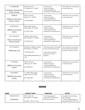| FT. MADISON<br><b>Eichacker Community</b><br><b>Action Center</b>   | 3433 Avenue O<br>Ft. Madison, IA 52627<br>319-372-4471                                                     | - Food pantry<br>- Resource guide<br>- Housing assistance<br>including list of apartments                                | - Will help with connecting<br>to area resources.                                      |
|---------------------------------------------------------------------|------------------------------------------------------------------------------------------------------------|--------------------------------------------------------------------------------------------------------------------------|----------------------------------------------------------------------------------------|
| <b>KEOKUK</b><br><b>Tallarico Community</b><br><b>Action Center</b> | 220 S. 22nd St.<br>Keokuk, IA 52632<br>319-524-6383                                                        | - Food pantry<br>- Resource guide<br>- Housing assistance<br>including list of apartments                                | - Will help with connecting<br>to area resources.                                      |
| KEOSAUQUA<br><b>SIEDA Community</b><br>Action                       | 906 Dodge Street<br>Keosauqua, IA 52565<br>319-293-3722                                                    | - Food pantry<br>- Resource guide<br>- Housing assistance<br>including list of apartments                                | - Will help with connecting<br>to area resources.                                      |
| MT. PLEASANT<br><b>Tolson Community</b><br><b>Action Center</b>     | 1303 W. Washington<br>Mt. Pleasant, IA 52641<br>319-385-2310                                               | - Food pantry<br>- Resource guide<br>- Housing assistance<br>including list of apartments                                | - Will help with connecting<br>to area resources                                       |
| MT. PLEASANT<br>Fellowship Cup                                      | 203 North Jefferson Street<br>Mt Pleasant, IA 52641<br>(319) 385-3242<br>director@thefellowshipcup.<br>org | - Will assist with connecting<br>to area services/resources.<br>- Have food, clothing,<br>vouchers and other<br>supports | Their mission is to provide<br>food, shelter and clothing<br>to those in Henry County. |
| <b>OTTUMWA</b><br><b>SIEDA Community</b><br>Action                  | 725 W. Second<br>Ottumwa, IA 52501<br>641-682-8741                                                         | - Food pantry<br>- Resource guide<br>- Housing assistance<br>including list of apartments                                | - Will help with connecting<br>to area resources                                       |
| <b>SIGOURNEY</b><br><b>SIEDA Community</b><br>Action                | 114 West Washington<br>Sigourney, IA 52591<br>641-622-3443                                                 | - Food pantry<br>- Resource guide<br>- Housing assistance<br>including list of apartments                                | - Will help with connecting<br>to area resources                                       |

| <b>NAME</b>        | <b>CONTACT INFO</b>                     | <b>SERVICES</b>                                   | <b>NOTES</b>                                           |
|--------------------|-----------------------------------------|---------------------------------------------------|--------------------------------------------------------|
| <b>BURLINGTON</b>  | 515 S. Main St.<br>Burlington, IA 52602 | - Can help apply for<br>medicaid and referrals to | - Available for discharge,<br>but not parole.          |
| <b>Transitions</b> | Contact: Sara or Craig                  | local resources for                               | - Their housing program is<br>being developed, but may |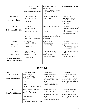|                                                                                | 319-209-2217, or<br>309-221-8492<br>transitionsdmc@gmail.com                                                  | substance abuse and<br>employment.<br>- Housing options available.<br>- Assist with household<br>goods.                             | be considered as a parole<br>location.                                                                              |
|--------------------------------------------------------------------------------|---------------------------------------------------------------------------------------------------------------|-------------------------------------------------------------------------------------------------------------------------------------|---------------------------------------------------------------------------------------------------------------------|
| <b>BURLINGTON</b><br><b>Burlington Shelter</b>                                 | 123 N. Marshall St.<br>Burlington, IA 52601<br>319-754-6791                                                   | - Shelter for extended or<br>short-term stay.                                                                                       | - Need Iowa ID.<br>- Not available for SO's.<br>- Available for discharge,<br>but not parole.<br>- Sober house.     |
| <b>KALONA</b><br>Retrograde Ministries                                         | 507 3rd St<br>Kalona, IA 52247<br>Main: (319) 779-1024<br>contact::<br>Mike Evans -<br>m.evansretro@gmail.com | - Men's recovery housing.<br>- Six-month in-house<br>program.<br>- Sober living housing<br>available upon completion<br>of program. | - Faith-based.<br>- They are a great group of<br>people.<br>- Possible parole location<br>- Not available for SO's. |
| <b>KEOKUK</b><br><b>Talbot Sober Living</b><br>Residence                       | 810 Timea St.<br>Keokuk, IA 52632<br>319-795-5535                                                             | - Sober house<br>- 12-step based<br>- 3-month stay                                                                                  | - Faith-based<br>- Positive and encouraging<br>people.<br>- Possible parole location<br>- Not available for SO's.   |
| <b>OTTUMWA</b><br>Oxford House<br><b>*RECOMMENDED</b><br><b>PLACE TO START</b> | Oxford House<br>606 E. Fillmore St.<br>Ottumwa, IA 52556<br>641-919-2510                                      | - Sober, cooperative,<br>self-governing housing<br>option for men.<br>- They can help you<br>connect to area resources.             | - Possible parole location<br>- A 12-step focused<br>community.<br>- Very positive group.                           |

| <b>NAME</b>                                  | <b>CONTACT INFO</b>                                                                                                        | <b>SERVICES</b>                                                                                                                                                       | <b>NOTES</b>                                                                                                                                                          |
|----------------------------------------------|----------------------------------------------------------------------------------------------------------------------------|-----------------------------------------------------------------------------------------------------------------------------------------------------------------------|-----------------------------------------------------------------------------------------------------------------------------------------------------------------------|
| <b>BURLINGTON</b><br><b>lowaWORKS Center</b> | Attn: Carolyn Farley<br>1000 N. Roosevelt<br>Burlington, IA 52601<br>(319) 753-1674<br>Email:<br>Region16.Web@iwd.iowa.gov | <b>IWD (lowaWORKS)</b><br>provides help with<br>resumes, job applications,<br>training/education and<br>more.<br>- Have computers, job<br>listings and staff to help. | - You can write to them<br>before leaving prison.<br>- Include: your skills/job<br>interests, resume (if you<br>have one) and a little about<br>your work experience. |
| <b>OTTUMWA</b><br><b>IowaWORKS Center</b>    | Attn: Operation Manager<br>15260 Truman St.<br>Ottumwa, IA 52501<br>(641) 684-5401<br>Email:<br>Region15.web@iwd.iowa.gov  | IWD (lowaWORKS)<br>provides help with<br>resumes, job applications,<br>training/education and<br>more.<br>- Have computers, job<br>listings and staff to help.        | - You can write to them<br>before leaving prison.<br>- Include: your skills/job<br>interests, resume (if you<br>have one) and a little about<br>your work experience. |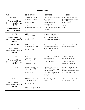| <b>NAME</b>                                                                                                                   | <b>CONTACT INFO</b>                                                                                                      | <b>SERVICES</b>                                                                                                                                                                           | <b>NOTES</b>                                                                                                                                      |
|-------------------------------------------------------------------------------------------------------------------------------|--------------------------------------------------------------------------------------------------------------------------|-------------------------------------------------------------------------------------------------------------------------------------------------------------------------------------------|---------------------------------------------------------------------------------------------------------------------------------------------------|
| <b>BURLINGTON</b><br>Alcohol and Drug<br><b>Dependency Services</b><br>(ADDS)<br><b>*RECOMMENDED</b><br><b>PLACE TO START</b> | 1340 Mt. Pleasant St.<br>Burlington, IA 52601<br>(319) 753-6567<br>Email:<br>nuneztamara@addsiowa.org<br>Contact: Tamara | - Will help you connect to<br>area resources<br>- Outpatient and<br>residential treatment for<br>substance abuse,<br>prevention work, distance<br>support services, gambling<br>treatment | -Even if you do not have<br>any substance use issues,<br>they will help you connect<br>to area services.<br>- Positive and encouraging<br>people. |
| <b>KEOKUK</b><br>Alcohol and Drug<br><b>Dependency Services</b><br>(ADDS)                                                     | 928 Main St.<br>Keokuk, IA 52632<br>(319) 524-4397                                                                       | Outpatient and residential<br>treatment for substance<br>abuse, prevention work,<br>distance support services.                                                                            |                                                                                                                                                   |
| MT. PLEASANT<br>Alcohol and Drug<br><b>Dependency Services</b><br>(ADDS)                                                      | 122 N. Main St.<br>Mt. Pleasant, IA 52641<br>(319) 385-2216                                                              | Outpatient and residential<br>treatment for substance<br>abuse, prevention work,<br>distance support services.                                                                            | - Residential treatment is<br>located in Burlington.                                                                                              |
| <b>OTTUMWA</b><br>Alcohol and Drug<br><b>Dependency Services</b><br>(ADDS)                                                    | <b>SEIDA</b><br>310 W. Main Street<br>Ottumwa, IA 52501<br>641-683-6747 Ext. 201                                         | Outpatient treatment for<br>substance abuse,<br>prevention work, distance<br>support services.                                                                                            | - They will help you<br>connect to other area<br>resources.<br>- They can refer you for<br>residential treatment.                                 |
| <b>OTTUMWA</b><br><b>First Resources</b>                                                                                      | 102 North Hancock St.<br>Ottumwa, IA 52501<br>(641) 682-2800                                                             | - Mental health services;<br>Individual/family therapy;<br>drop in centers<br>- They have a list of area<br>resources including<br>housing.                                               | Substance abuse support<br>groups are offered to<br>enhance continued success<br>of sobriety and prevent<br>relapse.                              |
| <b>WAPELLO</b><br>Alcohol and Drug<br><b>Dependency Services</b><br>(ADDS)                                                    | 304 Highway 61 North<br>Wapello, IA 52653<br>Main: (319) 523-8436<br>http://www.addsiowa.org/in<br>dex.php/about-us/     | Chemical dependency<br>services                                                                                                                                                           | - Residential treatment is<br>located in Burlington.                                                                                              |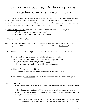# Owning Your Journey: A planning guide for starting over after prison in Iowa

Some of the wisest advice given when a person first gets to prison is, "Don't waste this time." While incarcerated, you have the opportunity to make a solid, detailed plan for your return into society. This planning guide is designed to aid you in your eventual success upon reentry. However, because no situation is the same, it is up to each of us to make our own plan.

A. Start with Your Dreams (What would happiness and contentment look like for you?)

- What is the job/career that you really want?
- Where would you like to live if you could choose?
- B. Steps towards Achieving Your Dreams

KEY POINT: It is hard getting accurate community information while in prison. The state-wide resource quide "First Stop After Prison" is available in every institution. Ask to see it!

DIRECTIONS: On a separate sheet (s) of paper, write a detailed description for each item (#1,2,3).

- 1. Identify and list support people/organizations in your community
	- These could be family, friends, sponsors, health care professionals.
	- Also, think of people or places you should avoid.
	- Include substance use and mental health support if needed.
- 2. List work/employment possibilities
	- Think broadly and include employment services like IowaWORKS.
- 3. Describe your living situation choices. (It is important to have more than one option.)

#### HELPFUL STRATEGIES:

Make a 'short-term' list of goals. (e.g. Find a job by Friday. Get an ID. Exercise twice this week…)

- Make a 'long-term' list of goals. (These are things that will take time to achieve.)
- The first 3 days out of prison can be the hardest. Write a detailed plan of what you will do during those first three days.

Created by: Living Beyond the Bars. We are a non-profit organization registered in Iowa. For more information contact - mike.livingbeyondthebars@gmail.com or 319-331-9450